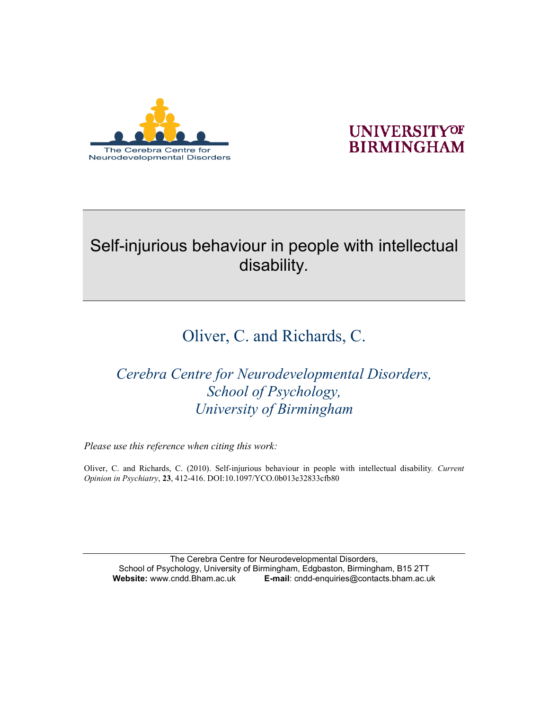

### **UNIVERSITYOF BIRMINGHAM**

## Self-injurious behaviour in people with intellectual disability*.*

# Oliver, C. and Richards, C.

*Cerebra Centre for Neurodevelopmental Disorders, School of Psychology, University of Birmingham* 

*Please use this reference when citing this work:* 

Oliver, C. and Richards, C. (2010). Self-injurious behaviour in people with intellectual disability*. Current Opinion in Psychiatry*, **23**, 412-416. DOI:10.1097/YCO.0b013e32833cfb80

The Cerebra Centre for Neurodevelopmental Disorders, School of Psychology, University of Birmingham, Edgbaston, Birmingham, B15 2TT<br> **Website:** www.cndd.Bham.ac.uk **E-mail:** cndd-enguiries@contacts.bham.ac.u **Website:** www.cndd.Bham.ac.uk **E-mail**: cndd-enquiries@contacts.bham.ac.uk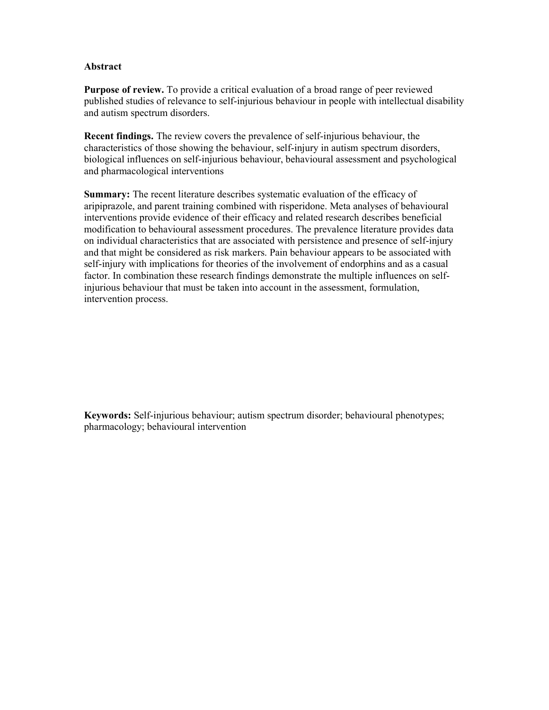#### **Abstract**

**Purpose of review.** To provide a critical evaluation of a broad range of peer reviewed published studies of relevance to self-injurious behaviour in people with intellectual disability and autism spectrum disorders.

**Recent findings.** The review covers the prevalence of self-injurious behaviour, the characteristics of those showing the behaviour, self-injury in autism spectrum disorders, biological influences on self-injurious behaviour, behavioural assessment and psychological and pharmacological interventions

**Summary:** The recent literature describes systematic evaluation of the efficacy of aripiprazole, and parent training combined with risperidone. Meta analyses of behavioural interventions provide evidence of their efficacy and related research describes beneficial modification to behavioural assessment procedures. The prevalence literature provides data on individual characteristics that are associated with persistence and presence of self-injury and that might be considered as risk markers. Pain behaviour appears to be associated with self-injury with implications for theories of the involvement of endorphins and as a casual factor. In combination these research findings demonstrate the multiple influences on selfinjurious behaviour that must be taken into account in the assessment, formulation, intervention process.

**Keywords:** Self-injurious behaviour; autism spectrum disorder; behavioural phenotypes; pharmacology; behavioural intervention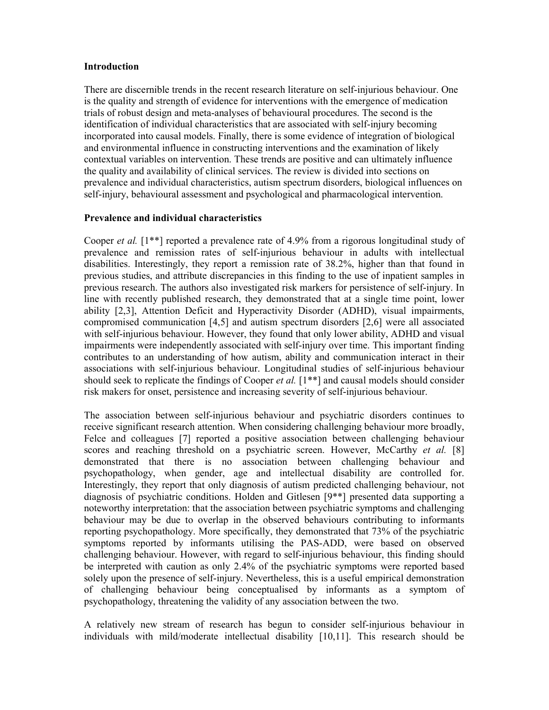#### **Introduction**

There are discernible trends in the recent research literature on self-injurious behaviour. One is the quality and strength of evidence for interventions with the emergence of medication trials of robust design and meta-analyses of behavioural procedures. The second is the identification of individual characteristics that are associated with self-injury becoming incorporated into causal models. Finally, there is some evidence of integration of biological and environmental influence in constructing interventions and the examination of likely contextual variables on intervention. These trends are positive and can ultimately influence the quality and availability of clinical services. The review is divided into sections on prevalence and individual characteristics, autism spectrum disorders, biological influences on self-injury, behavioural assessment and psychological and pharmacological intervention.

#### **Prevalence and individual characteristics**

Cooper *et al.* [1\*\*] reported a prevalence rate of 4.9% from a rigorous longitudinal study of prevalence and remission rates of self-injurious behaviour in adults with intellectual disabilities. Interestingly, they report a remission rate of 38.2%, higher than that found in previous studies, and attribute discrepancies in this finding to the use of inpatient samples in previous research. The authors also investigated risk markers for persistence of self-injury. In line with recently published research, they demonstrated that at a single time point, lower ability [2,3], Attention Deficit and Hyperactivity Disorder (ADHD), visual impairments, compromised communication [4,5] and autism spectrum disorders [2,6] were all associated with self-injurious behaviour. However, they found that only lower ability, ADHD and visual impairments were independently associated with self-injury over time. This important finding contributes to an understanding of how autism, ability and communication interact in their associations with self-injurious behaviour. Longitudinal studies of self-injurious behaviour should seek to replicate the findings of Cooper *et al.* [1<sup>\*\*</sup>] and causal models should consider risk makers for onset, persistence and increasing severity of self-injurious behaviour.

The association between self-injurious behaviour and psychiatric disorders continues to receive significant research attention. When considering challenging behaviour more broadly, Felce and colleagues [7] reported a positive association between challenging behaviour scores and reaching threshold on a psychiatric screen. However, McCarthy *et al.* [8] demonstrated that there is no association between challenging behaviour and psychopathology, when gender, age and intellectual disability are controlled for. Interestingly, they report that only diagnosis of autism predicted challenging behaviour, not diagnosis of psychiatric conditions. Holden and Gitlesen [9\*\*] presented data supporting a noteworthy interpretation: that the association between psychiatric symptoms and challenging behaviour may be due to overlap in the observed behaviours contributing to informants reporting psychopathology. More specifically, they demonstrated that 73% of the psychiatric symptoms reported by informants utilising the PAS-ADD, were based on observed challenging behaviour. However, with regard to self-injurious behaviour, this finding should be interpreted with caution as only 2.4% of the psychiatric symptoms were reported based solely upon the presence of self-injury. Nevertheless, this is a useful empirical demonstration of challenging behaviour being conceptualised by informants as a symptom of psychopathology, threatening the validity of any association between the two.

A relatively new stream of research has begun to consider self-injurious behaviour in individuals with mild/moderate intellectual disability [10,11]. This research should be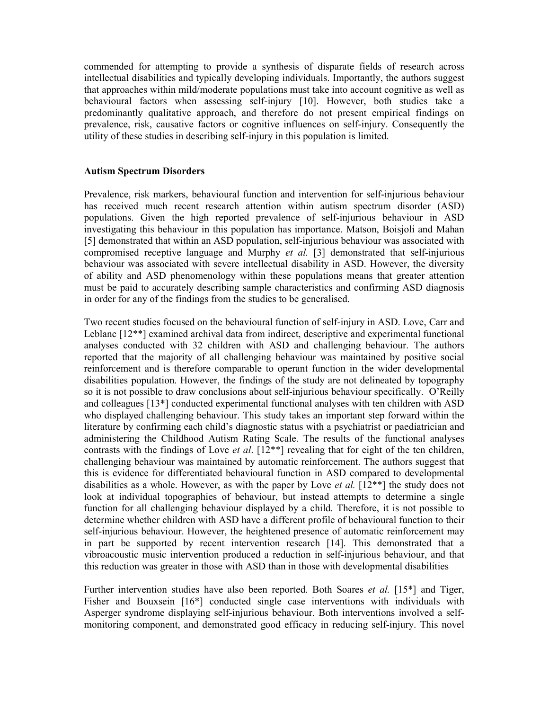commended for attempting to provide a synthesis of disparate fields of research across intellectual disabilities and typically developing individuals. Importantly, the authors suggest that approaches within mild/moderate populations must take into account cognitive as well as behavioural factors when assessing self-injury [10]. However, both studies take a predominantly qualitative approach, and therefore do not present empirical findings on prevalence, risk, causative factors or cognitive influences on self-injury. Consequently the utility of these studies in describing self-injury in this population is limited.

#### **Autism Spectrum Disorders**

Prevalence, risk markers, behavioural function and intervention for self-injurious behaviour has received much recent research attention within autism spectrum disorder (ASD) populations. Given the high reported prevalence of self-injurious behaviour in ASD investigating this behaviour in this population has importance. Matson, Boisjoli and Mahan [5] demonstrated that within an ASD population, self-injurious behaviour was associated with compromised receptive language and Murphy *et al.* [3] demonstrated that self-injurious behaviour was associated with severe intellectual disability in ASD. However, the diversity of ability and ASD phenomenology within these populations means that greater attention must be paid to accurately describing sample characteristics and confirming ASD diagnosis in order for any of the findings from the studies to be generalised.

Two recent studies focused on the behavioural function of self-injury in ASD. Love, Carr and Leblanc [12\*\*] examined archival data from indirect, descriptive and experimental functional analyses conducted with 32 children with ASD and challenging behaviour. The authors reported that the majority of all challenging behaviour was maintained by positive social reinforcement and is therefore comparable to operant function in the wider developmental disabilities population. However, the findings of the study are not delineated by topography so it is not possible to draw conclusions about self-injurious behaviour specifically. O'Reilly and colleagues [13\*] conducted experimental functional analyses with ten children with ASD who displayed challenging behaviour. This study takes an important step forward within the literature by confirming each child's diagnostic status with a psychiatrist or paediatrician and administering the Childhood Autism Rating Scale. The results of the functional analyses contrasts with the findings of Love *et al*. [12\*\*] revealing that for eight of the ten children, challenging behaviour was maintained by automatic reinforcement. The authors suggest that this is evidence for differentiated behavioural function in ASD compared to developmental disabilities as a whole. However, as with the paper by Love *et al.* [12\*\*] the study does not look at individual topographies of behaviour, but instead attempts to determine a single function for all challenging behaviour displayed by a child. Therefore, it is not possible to determine whether children with ASD have a different profile of behavioural function to their self-injurious behaviour. However, the heightened presence of automatic reinforcement may in part be supported by recent intervention research [14]. This demonstrated that a vibroacoustic music intervention produced a reduction in self-injurious behaviour, and that this reduction was greater in those with ASD than in those with developmental disabilities

Further intervention studies have also been reported. Both Soares *et al.* [15\*] and Tiger, Fisher and Bouxsein [16\*] conducted single case interventions with individuals with Asperger syndrome displaying self-injurious behaviour. Both interventions involved a selfmonitoring component, and demonstrated good efficacy in reducing self-injury. This novel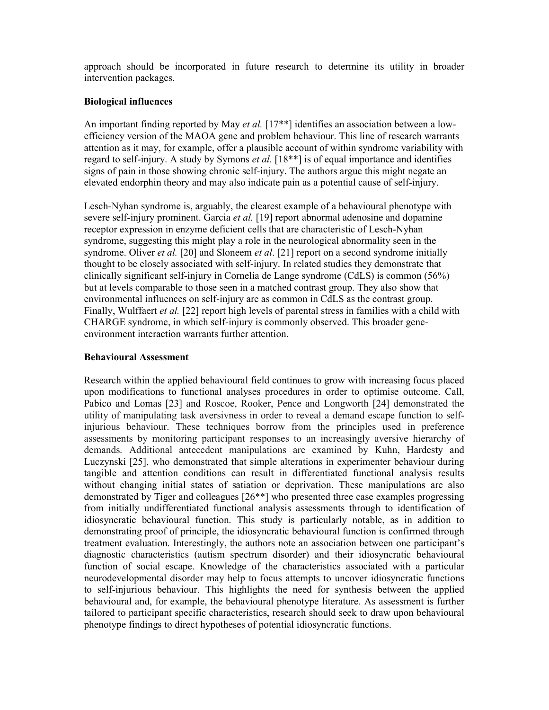approach should be incorporated in future research to determine its utility in broader intervention packages.

#### **Biological influences**

An important finding reported by May *et al.* [17<sup>\*\*</sup>] identifies an association between a lowefficiency version of the MAOA gene and problem behaviour. This line of research warrants attention as it may, for example, offer a plausible account of within syndrome variability with regard to self-injury. A study by Symons *et al.* [18\*\*] is of equal importance and identifies signs of pain in those showing chronic self-injury. The authors argue this might negate an elevated endorphin theory and may also indicate pain as a potential cause of self-injury.

Lesch-Nyhan syndrome is, arguably, the clearest example of a behavioural phenotype with severe self-injury prominent. Garcia *et al.* [19] report abnormal adenosine and dopamine receptor expression in enzyme deficient cells that are characteristic of Lesch-Nyhan syndrome, suggesting this might play a role in the neurological abnormality seen in the syndrome. Oliver *et al.* [20] and Sloneem *et al*. [21] report on a second syndrome initially thought to be closely associated with self-injury. In related studies they demonstrate that clinically significant self-injury in Cornelia de Lange syndrome (CdLS) is common (56%) but at levels comparable to those seen in a matched contrast group. They also show that environmental influences on self-injury are as common in CdLS as the contrast group. Finally, Wulffaert *et al.* [22] report high levels of parental stress in families with a child with CHARGE syndrome, in which self-injury is commonly observed. This broader geneenvironment interaction warrants further attention.

#### **Behavioural Assessment**

Research within the applied behavioural field continues to grow with increasing focus placed upon modifications to functional analyses procedures in order to optimise outcome. Call, Pabico and Lomas [23] and Roscoe, Rooker, Pence and Longworth [24] demonstrated the utility of manipulating task aversivness in order to reveal a demand escape function to selfinjurious behaviour. These techniques borrow from the principles used in preference assessments by monitoring participant responses to an increasingly aversive hierarchy of demands. Additional antecedent manipulations are examined by Kuhn, Hardesty and Luczynski [25], who demonstrated that simple alterations in experimenter behaviour during tangible and attention conditions can result in differentiated functional analysis results without changing initial states of satiation or deprivation. These manipulations are also demonstrated by Tiger and colleagues [26\*\*] who presented three case examples progressing from initially undifferentiated functional analysis assessments through to identification of idiosyncratic behavioural function. This study is particularly notable, as in addition to demonstrating proof of principle, the idiosyncratic behavioural function is confirmed through treatment evaluation. Interestingly, the authors note an association between one participant's diagnostic characteristics (autism spectrum disorder) and their idiosyncratic behavioural function of social escape. Knowledge of the characteristics associated with a particular neurodevelopmental disorder may help to focus attempts to uncover idiosyncratic functions to self-injurious behaviour. This highlights the need for synthesis between the applied behavioural and, for example, the behavioural phenotype literature. As assessment is further tailored to participant specific characteristics, research should seek to draw upon behavioural phenotype findings to direct hypotheses of potential idiosyncratic functions.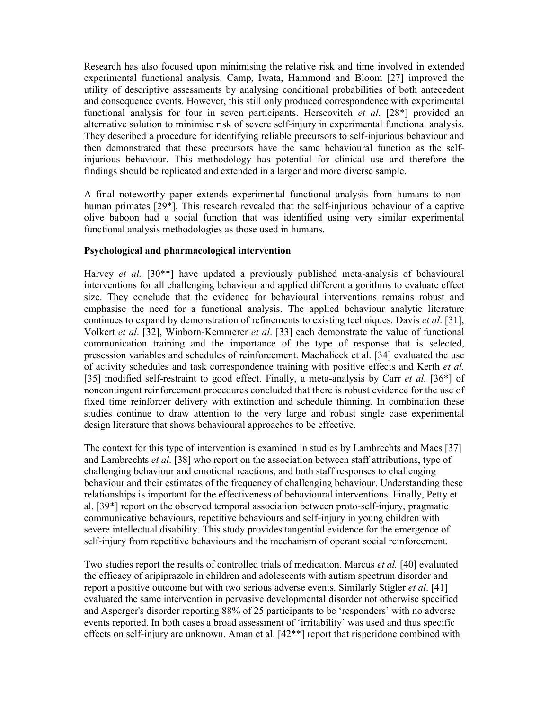Research has also focused upon minimising the relative risk and time involved in extended experimental functional analysis. Camp, Iwata, Hammond and Bloom [27] improved the utility of descriptive assessments by analysing conditional probabilities of both antecedent and consequence events. However, this still only produced correspondence with experimental functional analysis for four in seven participants. Herscovitch *et al.* [28\*] provided an alternative solution to minimise risk of severe self-injury in experimental functional analysis. They described a procedure for identifying reliable precursors to self-injurious behaviour and then demonstrated that these precursors have the same behavioural function as the selfinjurious behaviour. This methodology has potential for clinical use and therefore the findings should be replicated and extended in a larger and more diverse sample.

A final noteworthy paper extends experimental functional analysis from humans to nonhuman primates [29\*]. This research revealed that the self-injurious behaviour of a captive olive baboon had a social function that was identified using very similar experimental functional analysis methodologies as those used in humans.

#### **Psychological and pharmacological intervention**

Harvey *et al.* [30<sup>\*\*</sup>] have updated a previously published meta-analysis of behavioural interventions for all challenging behaviour and applied different algorithms to evaluate effect size. They conclude that the evidence for behavioural interventions remains robust and emphasise the need for a functional analysis. The applied behaviour analytic literature continues to expand by demonstration of refinements to existing techniques. Davis *et al*. [31], Volkert *et al*. [32], Winborn-Kemmerer *et al*. [33] each demonstrate the value of functional communication training and the importance of the type of response that is selected, presession variables and schedules of reinforcement. Machalicek et al. [34] evaluated the use of activity schedules and task correspondence training with positive effects and Kerth *et al*. [35] modified self-restraint to good effect. Finally, a meta-analysis by Carr *et al*. [36\*] of noncontingent reinforcement procedures concluded that there is robust evidence for the use of fixed time reinforcer delivery with extinction and schedule thinning. In combination these studies continue to draw attention to the very large and robust single case experimental design literature that shows behavioural approaches to be effective.

The context for this type of intervention is examined in studies by Lambrechts and Maes [37] and Lambrechts *et al*. [38] who report on the association between staff attributions, type of challenging behaviour and emotional reactions, and both staff responses to challenging behaviour and their estimates of the frequency of challenging behaviour. Understanding these relationships is important for the effectiveness of behavioural interventions. Finally, Petty et al. [39\*] report on the observed temporal association between proto-self-injury, pragmatic communicative behaviours, repetitive behaviours and self-injury in young children with severe intellectual disability. This study provides tangential evidence for the emergence of self-injury from repetitive behaviours and the mechanism of operant social reinforcement.

Two studies report the results of controlled trials of medication. Marcus *et al.* [40] evaluated the efficacy of aripiprazole in children and adolescents with autism spectrum disorder and report a positive outcome but with two serious adverse events. Similarly Stigler *et al*. [41] evaluated the same intervention in pervasive developmental disorder not otherwise specified and Asperger's disorder reporting 88% of 25 participants to be 'responders' with no adverse events reported. In both cases a broad assessment of 'irritability' was used and thus specific effects on self-injury are unknown. Aman et al. [42\*\*] report that risperidone combined with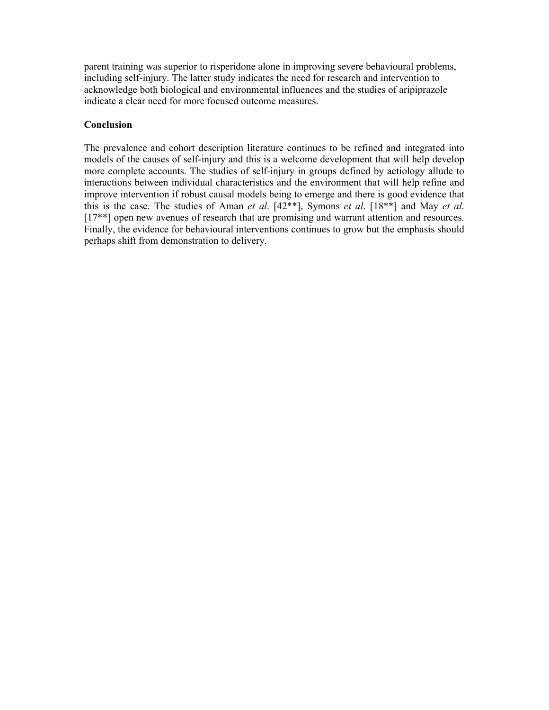parent training was superior to risperidone alone in improving severe behavioural problems, including self-injury. The latter study indicates the need for research and intervention to acknowledge both biological and environmental influences and the studies of aripiprazole indicate a clear need for more focused outcome measures.

#### **Conclusion**

The prevalence and cohort description literature continues to be refined and integrated into models of the causes of self-injury and this is a welcome development that will help develop more complete accounts. The studies of self-injury in groups defined by aetiology allude to interactions between individual characteristics and the environment that will help refine and improve intervention if robust causal models being to emerge and there is good evidence that this is the case. The studies of Aman *et al*. [42\*\*], Symons *et al*. [18\*\*] and May *et al*. [17<sup>\*\*]</sup> open new avenues of research that are promising and warrant attention and resources. Finally, the evidence for behavioural interventions continues to grow but the emphasis should perhaps shift from demonstration to delivery.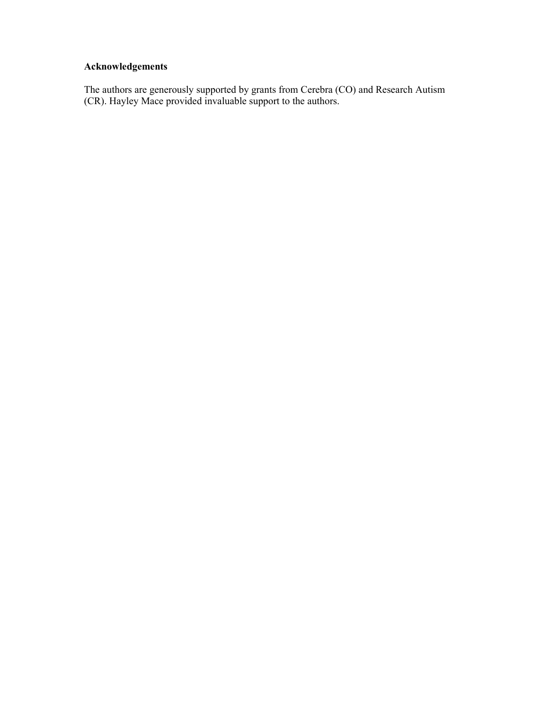### **Acknowledgements**

The authors are generously supported by grants from Cerebra (CO) and Research Autism (CR). Hayley Mace provided invaluable support to the authors.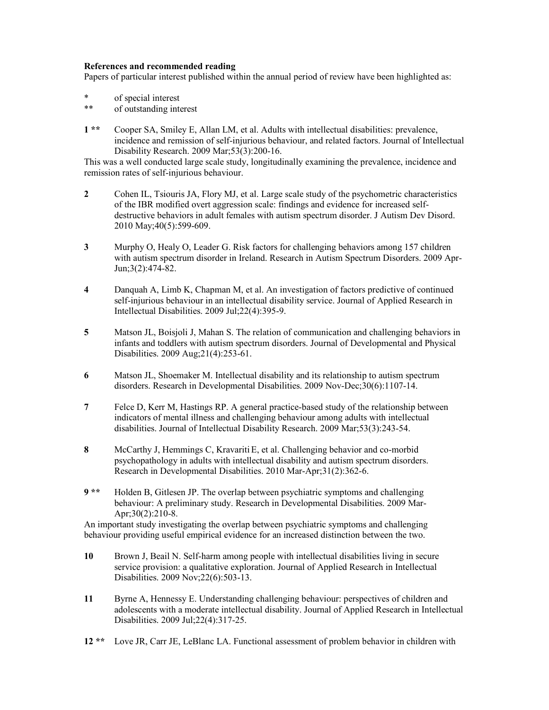#### **References and recommended reading**

Papers of particular interest published within the annual period of review have been highlighted as:

- \* of special interest<br>\*\* of outstanding inter-
- of outstanding interest
- **1 \*\*** Cooper SA, Smiley E, Allan LM, et al. Adults with intellectual disabilities: prevalence, incidence and remission of self-injurious behaviour, and related factors. Journal of Intellectual Disability Research. 2009 Mar;53(3):200-16.

This was a well conducted large scale study, longitudinally examining the prevalence, incidence and remission rates of self-injurious behaviour.

- 2 Cohen IL, Tsiouris JA, Flory MJ, et al. Large scale study of the psychometric characteristics of the IBR modified overt aggression scale: findings and evidence for increased selfdestructive behaviors in adult females with autism spectrum disorder. J Autism Dev Disord. 2010 May;40(5):599-609.
- **3** Murphy O, Healy O, Leader G. Risk factors for challenging behaviors among 157 children with autism spectrum disorder in Ireland. Research in Autism Spectrum Disorders. 2009 Apr-Jun;3(2):474-82.
- **4** Danquah A, Limb K, Chapman M, et al. An investigation of factors predictive of continued self-injurious behaviour in an intellectual disability service. Journal of Applied Research in Intellectual Disabilities. 2009 Jul;22(4):395-9.
- **5** Matson JL, Boisjoli J, Mahan S. The relation of communication and challenging behaviors in infants and toddlers with autism spectrum disorders. Journal of Developmental and Physical Disabilities. 2009 Aug;21(4):253-61.
- **6** Matson JL, Shoemaker M. Intellectual disability and its relationship to autism spectrum disorders. Research in Developmental Disabilities. 2009 Nov-Dec;30(6):1107-14.
- **7** Felce D, Kerr M, Hastings RP. A general practice-based study of the relationship between indicators of mental illness and challenging behaviour among adults with intellectual disabilities. Journal of Intellectual Disability Research. 2009 Mar;53(3):243-54.
- **8** McCarthy J, Hemmings C, KravaritiE, et al. Challenging behavior and co-morbid psychopathology in adults with intellectual disability and autism spectrum disorders. Research in Developmental Disabilities. 2010 Mar-Apr;31(2):362-6.
- **9 \*\*** Holden B, Gitlesen JP. The overlap between psychiatric symptoms and challenging behaviour: A preliminary study. Research in Developmental Disabilities. 2009 Mar-Apr;30(2):210-8.

An important study investigating the overlap between psychiatric symptoms and challenging behaviour providing useful empirical evidence for an increased distinction between the two.

- **10** Brown J, Beail N. Self-harm among people with intellectual disabilities living in secure service provision: a qualitative exploration. Journal of Applied Research in Intellectual Disabilities. 2009 Nov;22(6):503-13.
- **11** Byrne A, Hennessy E. Understanding challenging behaviour: perspectives of children and adolescents with a moderate intellectual disability. Journal of Applied Research in Intellectual Disabilities. 2009 Jul;22(4):317-25.
- **12 \*\*** Love JR, Carr JE, LeBlanc LA. Functional assessment of problem behavior in children with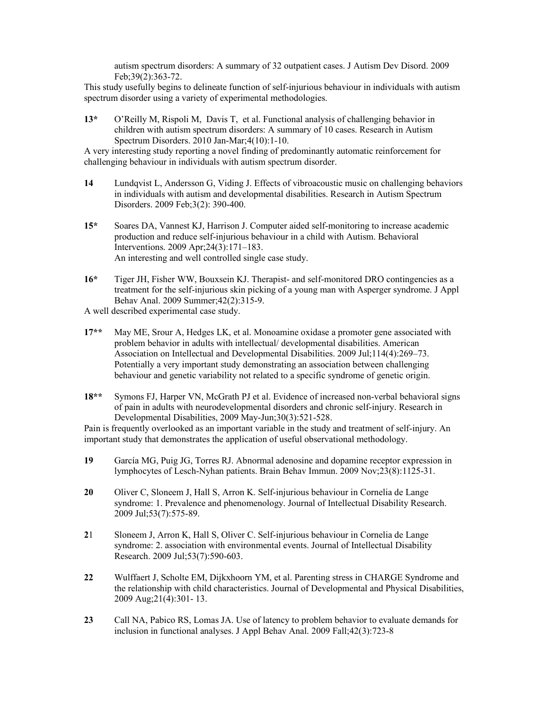autism spectrum disorders: A summary of 32 outpatient cases. J Autism Dev Disord. 2009 Feb;39(2):363-72.

This study usefully begins to delineate function of self-injurious behaviour in individuals with autism spectrum disorder using a variety of experimental methodologies.

**13\*** O'Reilly M, Rispoli M, Davis T, et al. Functional analysis of challenging behavior in children with autism spectrum disorders: A summary of 10 cases. Research in Autism Spectrum Disorders. 2010 Jan-Mar;4(10):1-10.

A very interesting study reporting a novel finding of predominantly automatic reinforcement for challenging behaviour in individuals with autism spectrum disorder.

- **14** Lundqvist L, Andersson G, Viding J. Effects of vibroacoustic music on challenging behaviors in individuals with autism and developmental disabilities. Research in Autism Spectrum Disorders. 2009 Feb;3(2): 390-400.
- **15\*** Soares DA, Vannest KJ, Harrison J. Computer aided self-monitoring to increase academic production and reduce self-injurious behaviour in a child with Autism. Behavioral Interventions. 2009 Apr;24(3):171–183. An interesting and well controlled single case study.
- **16\*** Tiger JH, Fisher WW, Bouxsein KJ. Therapist- and self-monitored DRO contingencies as a treatment for the self-injurious skin picking of a young man with Asperger syndrome. J Appl Behav Anal. 2009 Summer;42(2):315-9.

A well described experimental case study.

- **17\*\*** May ME, Srour A, Hedges LK, et al. Monoamine oxidase a promoter gene associated with problem behavior in adults with intellectual/ developmental disabilities. American Association on Intellectual and Developmental Disabilities. 2009 Jul;114(4):269–73. Potentially a very important study demonstrating an association between challenging behaviour and genetic variability not related to a specific syndrome of genetic origin.
- **18\*\*** Symons FJ, Harper VN, McGrath PJ et al. Evidence of increased non-verbal behavioral signs of pain in adults with neurodevelopmental disorders and chronic self-injury. Research in Developmental Disabilities, 2009 May-Jun;30(3):521-528.

Pain is frequently overlooked as an important variable in the study and treatment of self-injury. An important study that demonstrates the application of useful observational methodology.

- **19** García MG, Puig JG, Torres RJ. Abnormal adenosine and dopamine receptor expression in lymphocytes of Lesch-Nyhan patients. Brain Behav Immun. 2009 Nov;23(8):1125-31.
- **20** Oliver C, Sloneem J, Hall S, Arron K. Self-injurious behaviour in Cornelia de Lange syndrome: 1. Prevalence and phenomenology. Journal of Intellectual Disability Research. 2009 Jul;53(7):575-89.
- **2**1 Sloneem J, Arron K, Hall S, Oliver C. Self-injurious behaviour in Cornelia de Lange syndrome: 2. association with environmental events. Journal of Intellectual Disability Research. 2009 Jul;53(7):590-603.
- **22** Wulffaert J, Scholte EM, Dijkxhoorn YM, et al. Parenting stress in CHARGE Syndrome and the relationship with child characteristics. Journal of Developmental and Physical Disabilities, 2009 Aug;21(4):301- 13.
- **23** Call NA, Pabico RS, Lomas JA. Use of latency to problem behavior to evaluate demands for inclusion in functional analyses. J Appl Behav Anal. 2009 Fall;42(3):723-8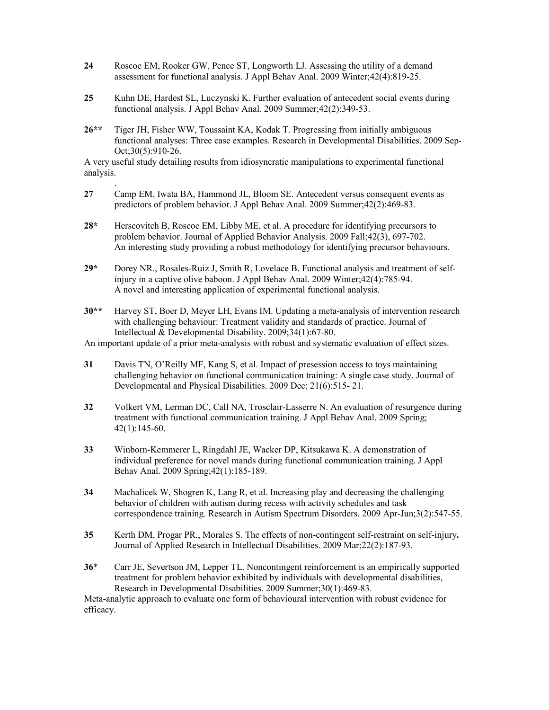- **24** Roscoe EM, Rooker GW, Pence ST, Longworth LJ. Assessing the utility of a demand assessment for functional analysis. J Appl Behav Anal. 2009 Winter;42(4):819-25.
- **25** Kuhn DE, Hardest SL, Luczynski K. Further evaluation of antecedent social events during functional analysis. J Appl Behav Anal. 2009 Summer;42(2):349-53.
- **26\*\*** Tiger JH, Fisher WW, Toussaint KA, Kodak T. Progressing from initially ambiguous functional analyses: Three case examples. Research in Developmental Disabilities. 2009 Sep-Oct:30(5):910-26.

A very useful study detailing results from idiosyncratic manipulations to experimental functional analysis.

.

- **27** Camp EM, Iwata BA, Hammond JL, Bloom SE. Antecedent versus consequent events as predictors of problem behavior. J Appl Behav Anal. 2009 Summer;42(2):469-83.
- **28\*** Herscovitch B, Roscoe EM, Libby ME, et al. A procedure for identifying precursors to problem behavior. Journal of Applied Behavior Analysis. 2009 Fall;42(3), 697-702. An interesting study providing a robust methodology for identifying precursor behaviours.
- **29\*** Dorey NR., Rosales-Ruiz J, Smith R, Lovelace B. Functional analysis and treatment of selfinjury in a captive olive baboon. J Appl Behav Anal. 2009 Winter;42(4):785-94. A novel and interesting application of experimental functional analysis.
- **30\*\*** Harvey ST, Boer D, Meyer LH, Evans IM. Updating a meta-analysis of intervention research with challenging behaviour: Treatment validity and standards of practice. Journal of Intellectual & Developmental Disability. 2009;34(1):67-80.

An important update of a prior meta-analysis with robust and systematic evaluation of effect sizes.

- **31** Davis TN, O'Reilly MF, Kang S, et al. Impact of presession access to toys maintaining challenging behavior on functional communication training: A single case study. Journal of Developmental and Physical Disabilities. 2009 Dec; 21(6):515- 21.
- **32** Volkert VM, Lerman DC, Call NA, Trosclair-Lasserre N. An evaluation of resurgence during treatment with functional communication training. J Appl Behav Anal. 2009 Spring; 42(1):145-60.
- **33** Winborn-Kemmerer L, Ringdahl JE, Wacker DP, Kitsukawa K. A demonstration of individual preference for novel mands during functional communication training. J Appl Behav Anal. 2009 Spring;42(1):185-189.
- **34** Machalicek W, Shogren K, Lang R, et al. Increasing play and decreasing the challenging behavior of children with autism during recess with activity schedules and task correspondence training. Research in Autism Spectrum Disorders. 2009 Apr-Jun;3(2):547-55.
- **35** Kerth DM, Progar PR., Morales S. The effects of non-contingent self-restraint on self-injury**.**  Journal of Applied Research in Intellectual Disabilities. 2009 Mar;22(2):187-93.
- **36**\* Carr JE, Severtson JM, Lepper TL. Noncontingent reinforcement is an empirically supported treatment for problem behavior exhibited by individuals with developmental disabilities, Research in Developmental Disabilities. 2009 Summer;30(1):469-83.

Meta-analytic approach to evaluate one form of behavioural intervention with robust evidence for efficacy.